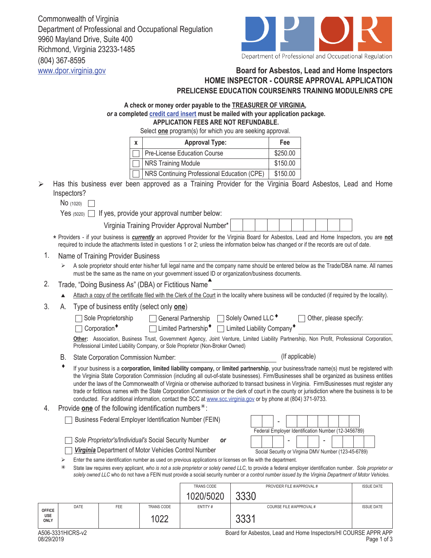Commonwealth of Virginia Department of Professional and Occupational Regulation 9960 Mayland Drive, Suite 400 Richmond, Virginia 23233-1485 (804) 367-8595



## www.dpor.virginia.gov **Board for Asbestos, Lead and Home Inspectors HOME INSPECTOR - COURSE APPROVAL APPLICATION PRELICENSE EDUCATION COURSE/NRS TRAINING MODULE/NRS CPE**

| A check or money order payable to the <b>TREASURER OF VIRGINIA</b> ,<br>or a completed credit card insert must be mailed with your application package.<br>APPLICATION FEES ARE NOT REFUNDABLE. |                                                                                                                                                                                                                                                                                                                                                                                                                                                     |                          |                                                           |                            |                                                                                                                                                                                                                                                                                                                                                                                                                                                                                                                                                                                                                                                                                                           |      |                            |                                                     |                   |
|-------------------------------------------------------------------------------------------------------------------------------------------------------------------------------------------------|-----------------------------------------------------------------------------------------------------------------------------------------------------------------------------------------------------------------------------------------------------------------------------------------------------------------------------------------------------------------------------------------------------------------------------------------------------|--------------------------|-----------------------------------------------------------|----------------------------|-----------------------------------------------------------------------------------------------------------------------------------------------------------------------------------------------------------------------------------------------------------------------------------------------------------------------------------------------------------------------------------------------------------------------------------------------------------------------------------------------------------------------------------------------------------------------------------------------------------------------------------------------------------------------------------------------------------|------|----------------------------|-----------------------------------------------------|-------------------|
| Select one program(s) for which you are seeking approval.                                                                                                                                       |                                                                                                                                                                                                                                                                                                                                                                                                                                                     |                          |                                                           |                            |                                                                                                                                                                                                                                                                                                                                                                                                                                                                                                                                                                                                                                                                                                           |      |                            |                                                     |                   |
|                                                                                                                                                                                                 |                                                                                                                                                                                                                                                                                                                                                                                                                                                     |                          | X                                                         |                            | <b>Approval Type:</b>                                                                                                                                                                                                                                                                                                                                                                                                                                                                                                                                                                                                                                                                                     |      | Fee                        |                                                     |                   |
|                                                                                                                                                                                                 |                                                                                                                                                                                                                                                                                                                                                                                                                                                     |                          |                                                           |                            | Pre-License Education Course                                                                                                                                                                                                                                                                                                                                                                                                                                                                                                                                                                                                                                                                              |      | \$250.00                   |                                                     |                   |
|                                                                                                                                                                                                 |                                                                                                                                                                                                                                                                                                                                                                                                                                                     |                          |                                                           | <b>NRS Training Module</b> |                                                                                                                                                                                                                                                                                                                                                                                                                                                                                                                                                                                                                                                                                                           |      | \$150.00                   |                                                     |                   |
|                                                                                                                                                                                                 |                                                                                                                                                                                                                                                                                                                                                                                                                                                     |                          |                                                           |                            | NRS Continuing Professional Education (CPE)                                                                                                                                                                                                                                                                                                                                                                                                                                                                                                                                                                                                                                                               |      | \$150.00                   |                                                     |                   |
|                                                                                                                                                                                                 |                                                                                                                                                                                                                                                                                                                                                                                                                                                     | Inspectors?<br>No (1020) |                                                           |                            | Has this business ever been approved as a Training Provider for the Virginia Board Asbestos, Lead and Home                                                                                                                                                                                                                                                                                                                                                                                                                                                                                                                                                                                                |      |                            |                                                     |                   |
|                                                                                                                                                                                                 | Yes $(5020)$ If yes, provide your approval number below:<br>Virginia Training Provider Approval Number*                                                                                                                                                                                                                                                                                                                                             |                          |                                                           |                            |                                                                                                                                                                                                                                                                                                                                                                                                                                                                                                                                                                                                                                                                                                           |      |                            |                                                     |                   |
|                                                                                                                                                                                                 |                                                                                                                                                                                                                                                                                                                                                                                                                                                     |                          |                                                           |                            | * Providers - if your business is currently an approved Provider for the Virginia Board for Asbestos, Lead and Home Inspectors, you are not<br>required to include the attachments listed in questions 1 or 2; unless the information below has changed or if the records are out of date.                                                                                                                                                                                                                                                                                                                                                                                                                |      |                            |                                                     |                   |
| 1.                                                                                                                                                                                              |                                                                                                                                                                                                                                                                                                                                                                                                                                                     |                          | Name of Training Provider Business                        |                            |                                                                                                                                                                                                                                                                                                                                                                                                                                                                                                                                                                                                                                                                                                           |      |                            |                                                     |                   |
|                                                                                                                                                                                                 |                                                                                                                                                                                                                                                                                                                                                                                                                                                     |                          |                                                           |                            | A sole proprietor should enter his/her full legal name and the company name should be entered below as the Trade/DBA name. All names<br>must be the same as the name on your government issued ID or organization/business documents.                                                                                                                                                                                                                                                                                                                                                                                                                                                                     |      |                            |                                                     |                   |
| 2.                                                                                                                                                                                              | Trade, "Doing Business As" (DBA) or Fictitious Name                                                                                                                                                                                                                                                                                                                                                                                                 |                          |                                                           |                            |                                                                                                                                                                                                                                                                                                                                                                                                                                                                                                                                                                                                                                                                                                           |      |                            |                                                     |                   |
|                                                                                                                                                                                                 |                                                                                                                                                                                                                                                                                                                                                                                                                                                     |                          |                                                           |                            | Attach a copy of the certificate filed with the Clerk of the Court in the locality where business will be conducted (if required by the locality).                                                                                                                                                                                                                                                                                                                                                                                                                                                                                                                                                        |      |                            |                                                     |                   |
| 3.                                                                                                                                                                                              | А.                                                                                                                                                                                                                                                                                                                                                                                                                                                  |                          | Type of business entity (select only one)                 |                            |                                                                                                                                                                                                                                                                                                                                                                                                                                                                                                                                                                                                                                                                                                           |      |                            |                                                     |                   |
|                                                                                                                                                                                                 |                                                                                                                                                                                                                                                                                                                                                                                                                                                     |                          | Sole Proprietorship<br>Corporation <sup>+</sup>           |                            | General Partnership   Solely Owned LLC <sup>+</sup><br>Limited Partnership <sup>+</sup> □ Limited Liability Company <sup>+</sup><br>Other: Association, Business Trust, Government Agency, Joint Venture, Limited Liability Partnership, Non Profit, Professional Corporation,<br>Professional Limited Liability Company, or Sole Proprietor (Non-Broker Owned)                                                                                                                                                                                                                                                                                                                                           |      |                            | Other, please specify:                              |                   |
|                                                                                                                                                                                                 | В.                                                                                                                                                                                                                                                                                                                                                                                                                                                  |                          | <b>State Corporation Commission Number:</b>               |                            |                                                                                                                                                                                                                                                                                                                                                                                                                                                                                                                                                                                                                                                                                                           |      | (If applicable)            |                                                     |                   |
|                                                                                                                                                                                                 | ٠                                                                                                                                                                                                                                                                                                                                                                                                                                                   |                          |                                                           |                            | If your business is a corporation, limited liability company, or limited partnership, your business/trade name(s) must be registered with<br>the Virginia State Corporation Commission (including all out-of-state businesses). Firm/Businesses shall be organized as business entities<br>under the laws of the Commonwealth of Virginia or otherwise authorized to transact business in Virginia. Firm/Businesses must register any<br>trade or fictitious names with the State Corporation Commission or the clerk of court in the county or jurisdiction where the business is to be<br>conducted. For additional information, contact the SCC at www.scc.virginia.gov or by phone at (804) 371-9733. |      |                            |                                                     |                   |
| 4.                                                                                                                                                                                              |                                                                                                                                                                                                                                                                                                                                                                                                                                                     |                          | Provide one of the following identification numbers $*$ : |                            |                                                                                                                                                                                                                                                                                                                                                                                                                                                                                                                                                                                                                                                                                                           |      |                            |                                                     |                   |
|                                                                                                                                                                                                 |                                                                                                                                                                                                                                                                                                                                                                                                                                                     |                          | Business Federal Employer Identification Number (FEIN)    |                            |                                                                                                                                                                                                                                                                                                                                                                                                                                                                                                                                                                                                                                                                                                           |      |                            | Federal Employer Identification Number (12-3456789) |                   |
|                                                                                                                                                                                                 | Sole Proprietor's/Individual's Social Security Number<br><b>or</b><br>Virginia Department of Motor Vehicles Control Number<br>Social Security or Virginia DMV Number (123-45-6789)                                                                                                                                                                                                                                                                  |                          |                                                           |                            |                                                                                                                                                                                                                                                                                                                                                                                                                                                                                                                                                                                                                                                                                                           |      |                            |                                                     |                   |
|                                                                                                                                                                                                 | Enter the same identification number as used on previous applications or licenses on file with the department.<br>➤<br>⋇<br>State law requires every applicant, who is not a sole proprietor or solely owned LLC, to provide a federal employer identification number. Sole proprietor or<br>solely owned LLC who do not have a FEIN must provide a social security number or a control number issued by the Virginia Department of Motor Vehicles. |                          |                                                           |                            |                                                                                                                                                                                                                                                                                                                                                                                                                                                                                                                                                                                                                                                                                                           |      |                            |                                                     |                   |
|                                                                                                                                                                                                 |                                                                                                                                                                                                                                                                                                                                                                                                                                                     |                          |                                                           |                            | <b>TRANS CODE</b>                                                                                                                                                                                                                                                                                                                                                                                                                                                                                                                                                                                                                                                                                         |      | PROVIDER FILE #/APPROVAL # |                                                     | <b>ISSUE DATE</b> |
|                                                                                                                                                                                                 |                                                                                                                                                                                                                                                                                                                                                                                                                                                     |                          |                                                           |                            | 1020/5020                                                                                                                                                                                                                                                                                                                                                                                                                                                                                                                                                                                                                                                                                                 | 3330 |                            |                                                     |                   |
| <b>OFFICE</b>                                                                                                                                                                                   |                                                                                                                                                                                                                                                                                                                                                                                                                                                     | DATE                     | FEE                                                       | TRANS CODE                 | ENTITY#                                                                                                                                                                                                                                                                                                                                                                                                                                                                                                                                                                                                                                                                                                   |      | COURSE FILE #/APPROVAL #   |                                                     | <b>ISSUE DATE</b> |

1022 3331

**USE ONLY**

 $\blacktriangleright$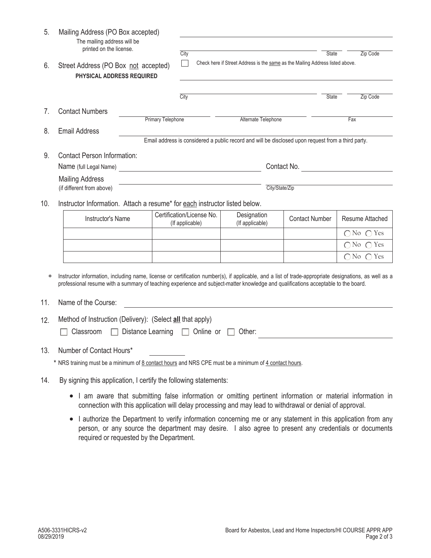| 5.  | Mailing Address (PO Box accepted)<br>The mailing address will be<br>printed on the license.                                                                                                                                                                                                 | City                                                                                               |                     | State                          | Zip Code              |                            |  |  |  |
|-----|---------------------------------------------------------------------------------------------------------------------------------------------------------------------------------------------------------------------------------------------------------------------------------------------|----------------------------------------------------------------------------------------------------|---------------------|--------------------------------|-----------------------|----------------------------|--|--|--|
| 6.  | Street Address (PO Box not accepted)<br>PHYSICAL ADDRESS REQUIRED                                                                                                                                                                                                                           | Check here if Street Address is the same as the Mailing Address listed above.                      |                     |                                |                       |                            |  |  |  |
|     |                                                                                                                                                                                                                                                                                             |                                                                                                    | City                |                                | State                 | Zip Code                   |  |  |  |
| 7.  | <b>Contact Numbers</b>                                                                                                                                                                                                                                                                      | <b>Primary Telephone</b>                                                                           |                     |                                |                       |                            |  |  |  |
| 8.  | <b>Email Address</b>                                                                                                                                                                                                                                                                        |                                                                                                    | Alternate Telephone |                                | Fax                   |                            |  |  |  |
|     |                                                                                                                                                                                                                                                                                             | Email address is considered a public record and will be disclosed upon request from a third party. |                     |                                |                       |                            |  |  |  |
| 9.  | <b>Contact Person Information:</b>                                                                                                                                                                                                                                                          |                                                                                                    |                     |                                |                       |                            |  |  |  |
|     | Name (full Legal Name)                                                                                                                                                                                                                                                                      |                                                                                                    | Contact No.         |                                |                       |                            |  |  |  |
|     | <b>Mailing Address</b>                                                                                                                                                                                                                                                                      |                                                                                                    |                     |                                |                       |                            |  |  |  |
|     | (if different from above)                                                                                                                                                                                                                                                                   |                                                                                                    | City/State/Zip      |                                |                       |                            |  |  |  |
| 10. | Instructor Information. Attach a resume* for each instructor listed below.                                                                                                                                                                                                                  |                                                                                                    |                     |                                |                       |                            |  |  |  |
|     | Instructor's Name                                                                                                                                                                                                                                                                           | Certification/License No.<br>(If applicable)                                                       |                     | Designation<br>(If applicable) | <b>Contact Number</b> | <b>Resume Attached</b>     |  |  |  |
|     |                                                                                                                                                                                                                                                                                             |                                                                                                    |                     |                                |                       | $\bigcap$ No $\bigcap$ Yes |  |  |  |
|     |                                                                                                                                                                                                                                                                                             |                                                                                                    |                     |                                |                       | $\bigcap$ No $\bigcap$ Yes |  |  |  |
|     |                                                                                                                                                                                                                                                                                             |                                                                                                    |                     |                                |                       | $\bigcap$ No $\bigcap$ Yes |  |  |  |
| *   | Instructor information, including name, license or certification number(s), if applicable, and a list of trade-appropriate designations, as well as a<br>professional resume with a summary of teaching experience and subject-matter knowledge and qualifications acceptable to the board. |                                                                                                    |                     |                                |                       |                            |  |  |  |
| 11. | Name of the Course:                                                                                                                                                                                                                                                                         |                                                                                                    |                     |                                |                       |                            |  |  |  |
| 12. | Method of Instruction (Delivery): (Select all that apply)                                                                                                                                                                                                                                   |                                                                                                    |                     |                                |                       |                            |  |  |  |
|     | Distance Learning<br>Online or<br>Classroom<br>Other:                                                                                                                                                                                                                                       |                                                                                                    |                     |                                |                       |                            |  |  |  |
| 13. | Number of Contact Hours*                                                                                                                                                                                                                                                                    |                                                                                                    |                     |                                |                       |                            |  |  |  |
|     | * NRS training must be a minimum of 8 contact hours and NRS CPE must be a minimum of 4 contact hours.                                                                                                                                                                                       |                                                                                                    |                     |                                |                       |                            |  |  |  |
| 14. | By signing this application, I certify the following statements:                                                                                                                                                                                                                            |                                                                                                    |                     |                                |                       |                            |  |  |  |
|     | I am aware that submitting false information or omitting pertinent information or material information in<br>connection with this application will delay processing and may lead to withdrawal or denial of approval.                                                                       |                                                                                                    |                     |                                |                       |                            |  |  |  |
|     | I authorize the Department to verify information concerning me or any statement in this application from any<br>person, or any source the department may desire. I also agree to present any credentials or documents                                                                       |                                                                                                    |                     |                                |                       |                            |  |  |  |

person, or any source the department may desire. I also agree to present any credentials or documents required or requested by the Department.